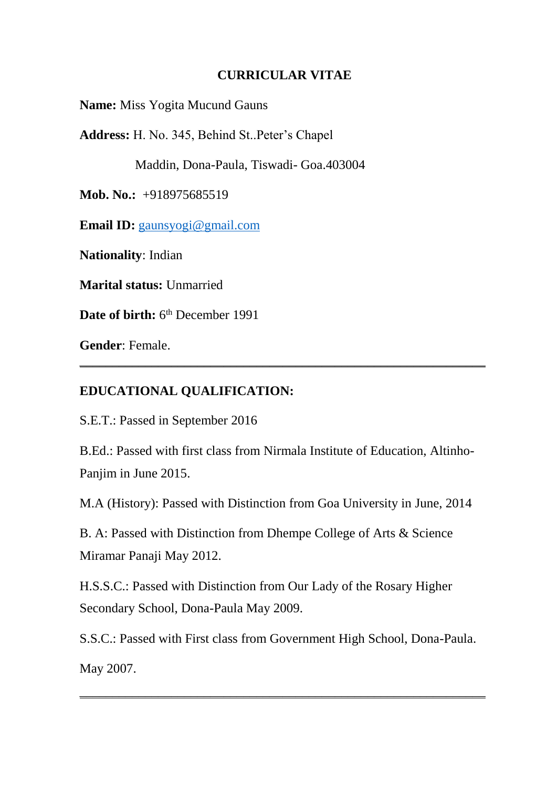#### **CURRICULAR VITAE**

**Name:** Miss Yogita Mucund Gauns

**Address:** H. No. 345, Behind St..Peter's Chapel

Maddin, Dona-Paula, Tiswadi- Goa.403004

**Mob. No.:** +918975685519

**Email ID:** [gaunsyogi@gmail.com](mailto:gaunsyogi@gmail.com)

**Nationality**: Indian

**Marital status:** Unmarried

Date of birth: 6<sup>th</sup> December 1991

**Gender**: Female.

#### **EDUCATIONAL QUALIFICATION:**

S.E.T.: Passed in September 2016

B.Ed.: Passed with first class from Nirmala Institute of Education, Altinho-Panjim in June 2015.

\_\_\_\_\_\_\_\_\_\_\_\_\_\_\_\_\_\_\_\_\_\_\_\_\_\_\_\_\_\_\_\_\_\_\_\_\_\_\_\_\_\_\_\_\_\_\_\_\_\_\_\_\_\_\_\_\_\_\_\_\_\_

M.A (History): Passed with Distinction from Goa University in June, 2014

B. A: Passed with Distinction from Dhempe College of Arts & Science Miramar Panaji May 2012.

H.S.S.C.: Passed with Distinction from Our Lady of the Rosary Higher Secondary School, Dona-Paula May 2009.

S.S.C.: Passed with First class from Government High School, Dona-Paula. May 2007.

\_\_\_\_\_\_\_\_\_\_\_\_\_\_\_\_\_\_\_\_\_\_\_\_\_\_\_\_\_\_\_\_\_\_\_\_\_\_\_\_\_\_\_\_\_\_\_\_\_\_\_\_\_\_\_\_\_\_\_\_\_\_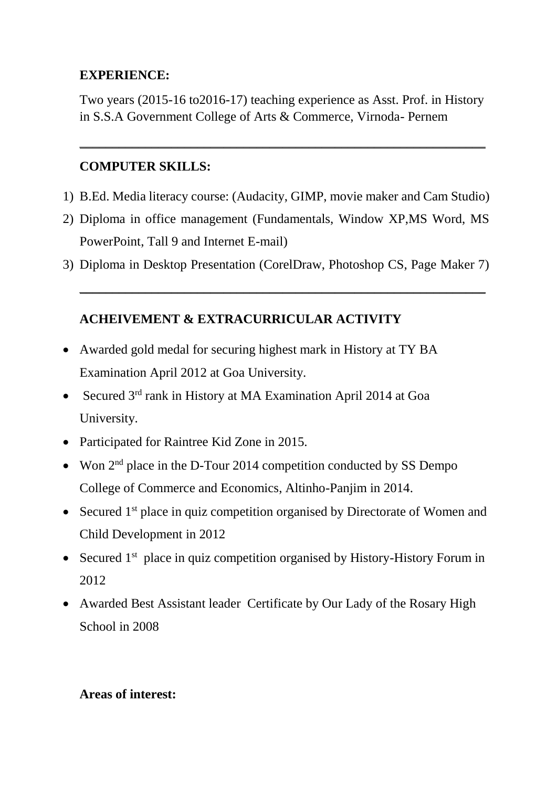## **EXPERIENCE:**

Two years (2015-16 to2016-17) teaching experience as Asst. Prof. in History in S.S.A Government College of Arts & Commerce, Virnoda- Pernem

\_\_\_\_\_\_\_\_\_\_\_\_\_\_\_\_\_\_\_\_\_\_\_\_\_\_\_\_\_\_\_\_\_\_\_\_\_\_\_\_\_\_\_\_\_\_\_\_\_\_\_\_\_\_\_\_\_\_\_\_\_\_

## **COMPUTER SKILLS:**

- 1) B.Ed. Media literacy course: (Audacity, GIMP, movie maker and Cam Studio)
- 2) Diploma in office management (Fundamentals, Window XP,MS Word, MS PowerPoint, Tall 9 and Internet E-mail)
- 3) Diploma in Desktop Presentation (CorelDraw, Photoshop CS, Page Maker 7)

\_\_\_\_\_\_\_\_\_\_\_\_\_\_\_\_\_\_\_\_\_\_\_\_\_\_\_\_\_\_\_\_\_\_\_\_\_\_\_\_\_\_\_\_\_\_\_\_\_\_\_\_\_\_\_\_\_\_\_\_\_\_

# **ACHEIVEMENT & EXTRACURRICULAR ACTIVITY**

- Awarded gold medal for securing highest mark in History at TY BA Examination April 2012 at Goa University.
- Secured 3<sup>rd</sup> rank in History at MA Examination April 2014 at Goa University.
- Participated for Raintree Kid Zone in 2015.
- Won  $2<sup>nd</sup>$  place in the D-Tour 2014 competition conducted by SS Dempo College of Commerce and Economics, Altinho-Panjim in 2014.
- Secured  $1<sup>st</sup>$  place in quiz competition organised by Directorate of Women and Child Development in 2012
- Secured 1<sup>st</sup> place in quiz competition organised by History-History Forum in 2012
- Awarded Best Assistant leader Certificate by Our Lady of the Rosary High School in 2008

### **Areas of interest:**